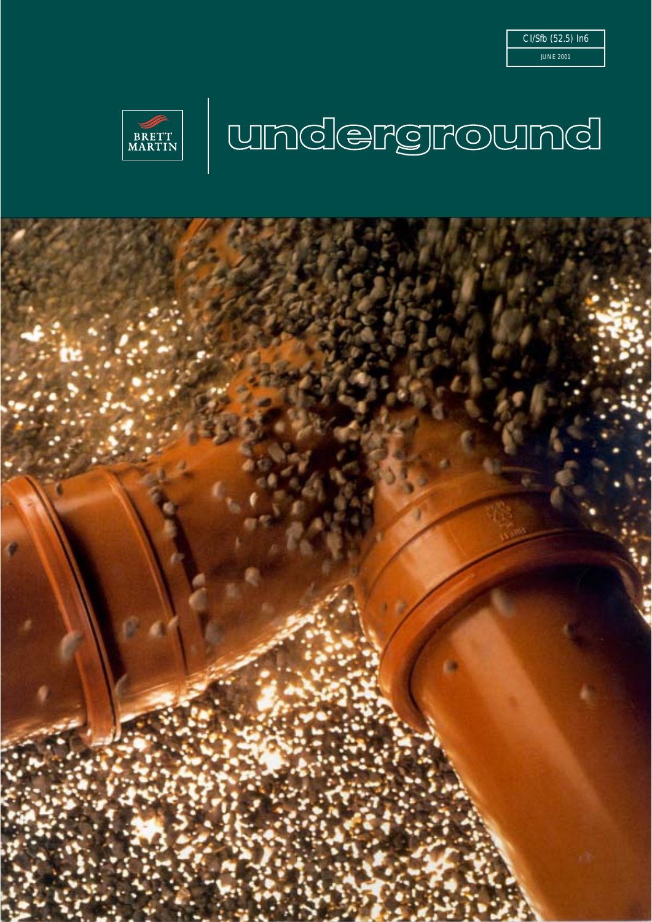

# **FRETT UNDCGFGF@UNDCI**

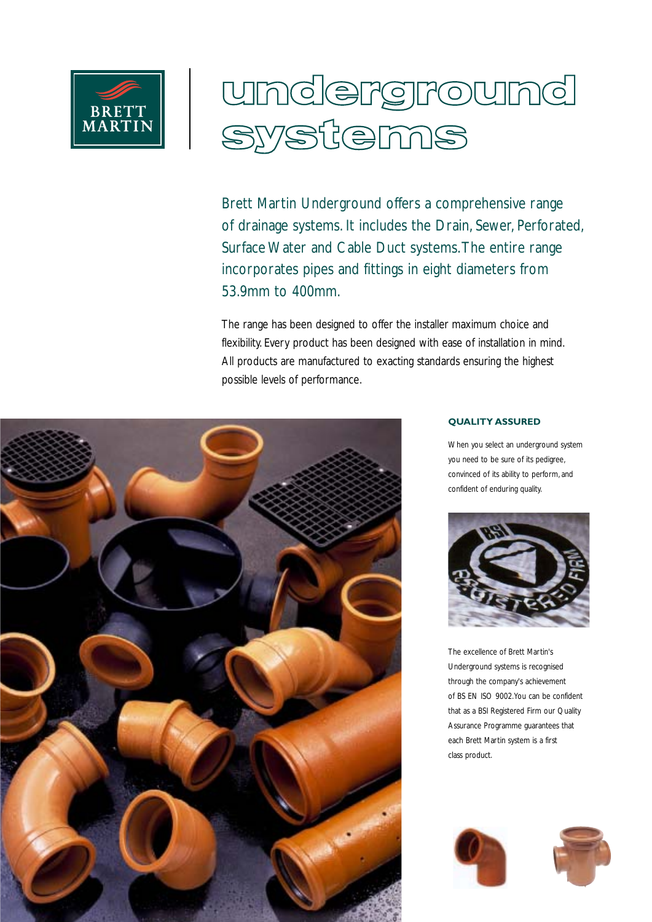

# underground <u>yystemns</u>

Brett Martin Underground offers a comprehensive range of drainage systems. It includes the Drain, Sewer, Perforated, Surface Water and Cable Duct systems.The entire range incorporates pipes and fittings in eight diameters from 53.9mm to 400mm.

The range has been designed to offer the installer maximum choice and flexibility. Every product has been designed with ease of installation in mind. All products are manufactured to exacting standards ensuring the highest possible levels of performance.



#### **QUALITY ASSURED**

When you select an underground system you need to be sure of its pedigree, convinced of its ability to perform, and confident of enduring quality.



The excellence of Brett Martin's Underground systems is recognised through the company's achievement of BS EN ISO 9002.You can be confident that as a BSI Registered Firm our Quality Assurance Programme guarantees that each Brett Martin system is a first class product.



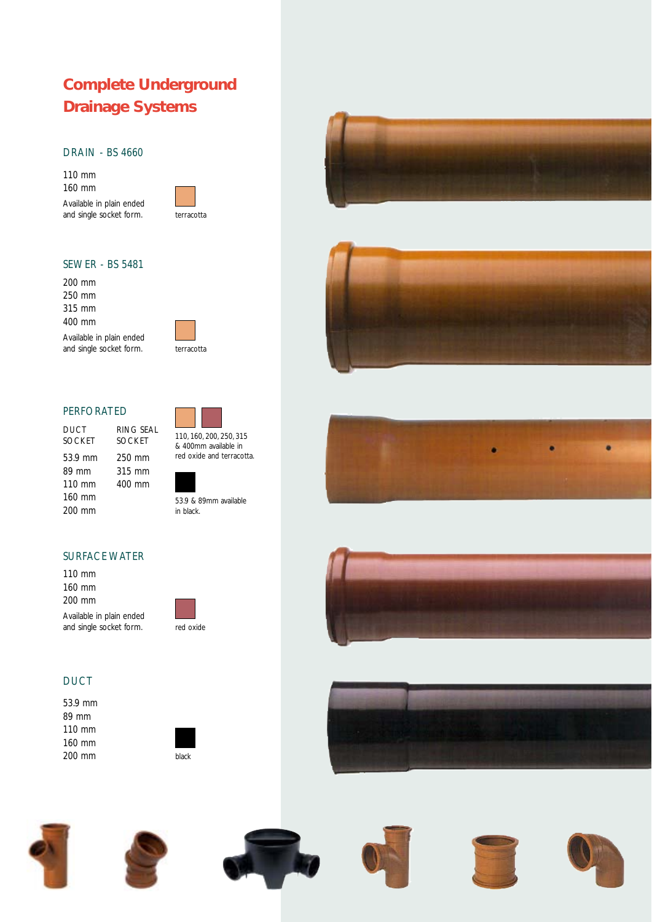# **Complete Underground Drainage Systems**

#### DRAIN - BS 4660

110 mm 160 mm Available in plain ended and single socket form.



#### SEWER - BS 5481

200 mm 250 mm 315 mm 400 mm





#### PERFORATED

DUCT RING SEAL<br>SOCKET SOCKET **SOCKET** 53.9 mm 250 mm 89 mm 315 mm<br>110 mm 400 mm 110 mm 160 mm 200 mm



110, 160, 200, 250, 315 & 400mm available in red oxide and terracotta.

53.9 & 89mm available in black.







#### SURFACE WATER

110 mm 160 mm 200 mm Available in plain ended and single socket form.





### **DUCT**

53.9 mm 89 mm 110 mm 160 mm 200 mm















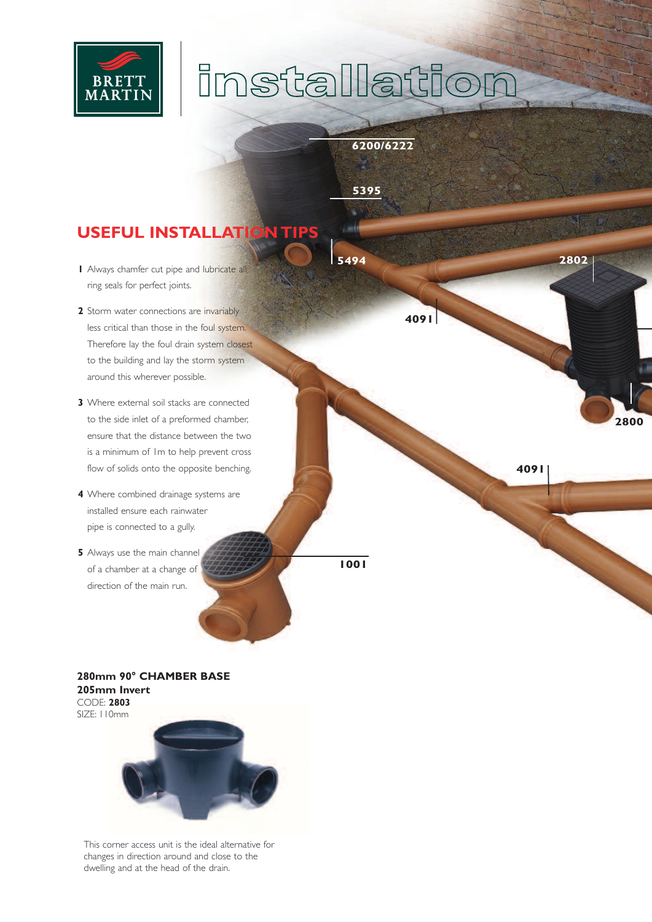

# **installation**

**6200/6222**

**4091**

**5395**

**5494**

# **USEFUL INSTALLATION TIP**

- **1** Always chamfer cut pipe and lubricate all ring seals for perfect joints.
- **2** Storm water connections are invariably less critical than those in the foul system. Therefore lay the foul drain system closest to the building and lay the storm system around this wherever possible.
- **3** Where external soil stacks are connected to the side inlet of a preformed chamber, ensure that the distance between the two is a minimum of 1m to help prevent cross flow of solids onto the opposite benching.
- **4** Where combined drainage systems are installed ensure each rainwater pipe is connected to a gully.
- **5** Always use the main channel of a chamber at a change of direction of the main run.

**1001**

**4091**

**2802**

**2800**

#### **280mm 90° CHAMBER BASE 205mm Invert** CODE: **2803** SIZE: 110mm



This corner access unit is the ideal alternative for changes in direction around and close to the dwelling and at the head of the drain.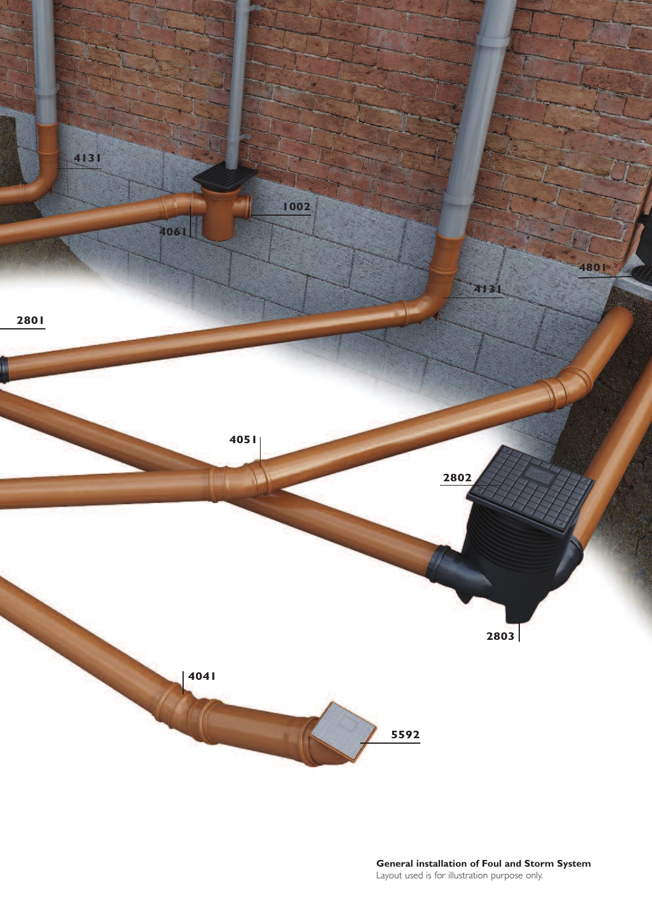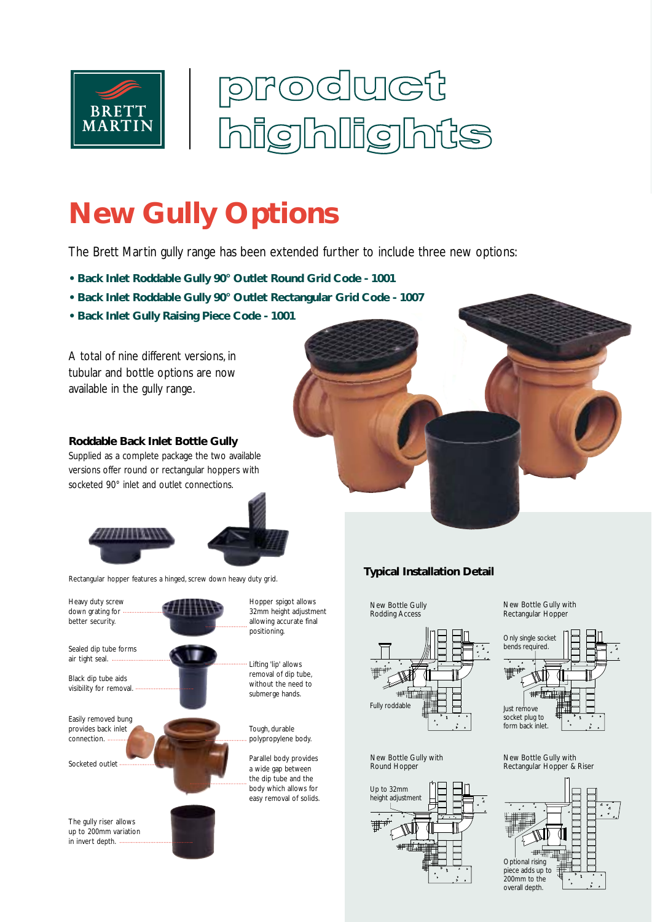

# roduct Ig **ing**  $|\mathsf{h}|$  $\ln$ is

# **New Gully Options**

The Brett Martin gully range has been extended further to include three new options:

- **Back Inlet Roddable Gully 90° Outlet Round Grid Code 1001**
- **Back Inlet Roddable Gully 90° Outlet Rectangular Grid Code 1007**
- **Back Inlet Gully Raising Piece Code 1001**

A total of nine different versions, in tubular and bottle options are now available in the gully range.

#### **Roddable Back Inlet Bottle Gully**

Supplied as a complete package the two available versions offer round or rectangular hoppers with socketed 90° inlet and outlet connections.



Rectangular hopper features a hinged, screw down heavy duty grid.



### **Typical Installation Detail**

New Bottle Gully Rodding Access



#### New Bottle Gully with Round Hopper



New Bottle Gully with Rectangular Hopper



New Bottle Gully with Rectangular Hopper & Riser

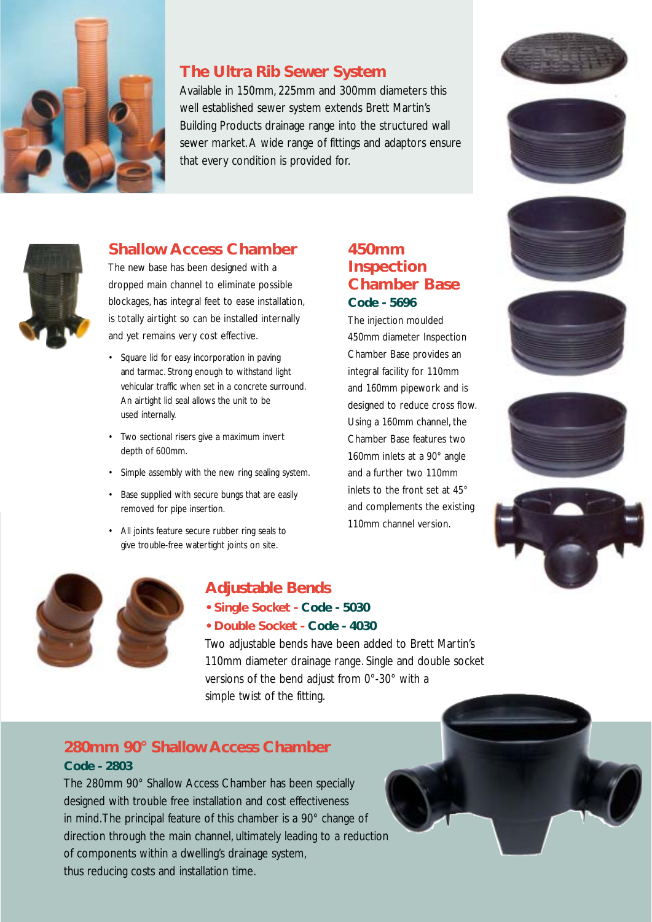

### **The Ultra Rib Sewer System**

Available in 150mm, 225mm and 300mm diameters this well established sewer system extends Brett Martin's Building Products drainage range into the structured wall sewer market. A wide range of fittings and adaptors ensure that every condition is provided for.







# **Shallow Access Chamber**

The new base has been designed with a dropped main channel to eliminate possible blockages, has integral feet to ease installation, is totally airtight so can be installed internally and yet remains very cost effective.

- Square lid for easy incorporation in paving and tarmac. Strong enough to withstand light vehicular traffic when set in a concrete surround. An airtight lid seal allows the unit to be used internally.
- Two sectional risers give a maximum invert depth of 600mm.
- Simple assembly with the new ring sealing system.
- Base supplied with secure bungs that are easily removed for pipe insertion.
- All joints feature secure rubber ring seals to give trouble-free watertight joints on site.

# **450mm Inspection Chamber Base Code - 5696**

The injection moulded 450mm diameter Inspection Chamber Base provides an integral facility for 110mm and 160mm pipework and is designed to reduce cross flow. Using a 160mm channel, the Chamber Base features two 160mm inlets at a 90° angle and a further two 110mm inlets to the front set at 45° and complements the existing 110mm channel version.











# **Adjustable Bends**

- **Single Socket - Code 5030**
- **Double Socket - Code 4030**

Two adjustable bends have been added to Brett Martin's 110mm diameter drainage range. Single and double socket versions of the bend adjust from 0°-30° with a simple twist of the fitting.

# **280mm 90° Shallow Access Chamber Code - 2803**

The 280mm 90° Shallow Access Chamber has been specially designed with trouble free installation and cost effectiveness in mind.The principal feature of this chamber is a 90° change of direction through the main channel, ultimately leading to a reduction of components within a dwelling's drainage system, thus reducing costs and installation time.